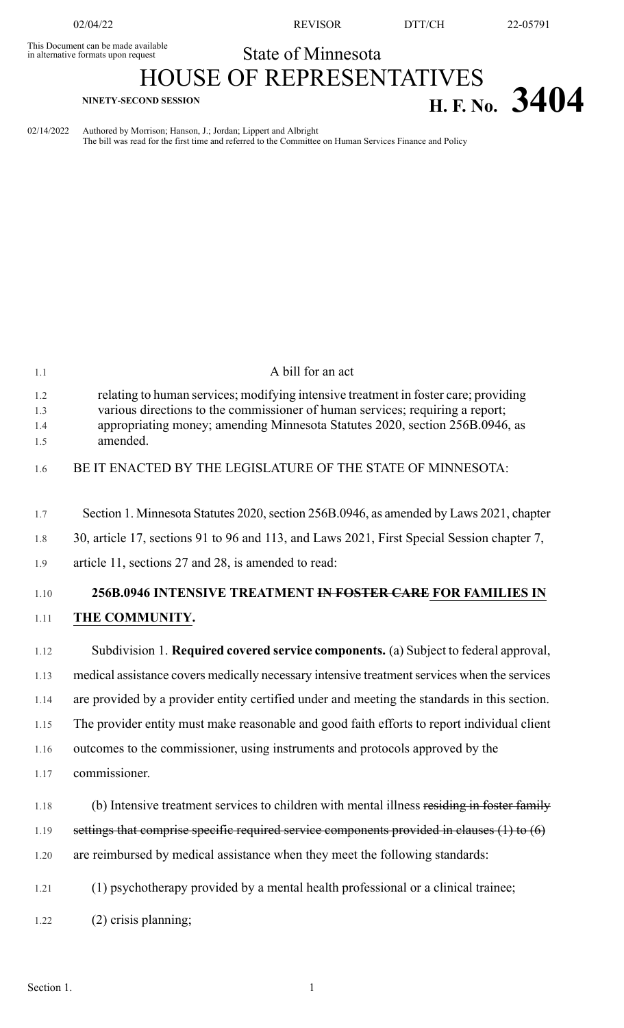This Document can be made available<br>in alternative formats upon request

02/04/22 REVISOR DTT/CH 22-05791

## State of Minnesota

## HOUSE OF REPRESENTATIVES **EXECTS SECOND SESSION H. F. No. 3404**

02/14/2022 Authored by Morrison; Hanson, J.; Jordan; Lippert and Albright The bill was read for the first time and referred to the Committee on Human Services Finance and Policy

| 1.1                      | A bill for an act                                                                                                                                                                                                                                                |
|--------------------------|------------------------------------------------------------------------------------------------------------------------------------------------------------------------------------------------------------------------------------------------------------------|
| 1.2<br>1.3<br>1.4<br>1.5 | relating to human services; modifying intensive treatment in foster care; providing<br>various directions to the commissioner of human services; requiring a report;<br>appropriating money; amending Minnesota Statutes 2020, section 256B.0946, as<br>amended. |
| 1.6                      | BE IT ENACTED BY THE LEGISLATURE OF THE STATE OF MINNESOTA:                                                                                                                                                                                                      |
| 1.7                      | Section 1. Minnesota Statutes 2020, section 256B.0946, as amended by Laws 2021, chapter                                                                                                                                                                          |
| 1.8                      | 30, article 17, sections 91 to 96 and 113, and Laws 2021, First Special Session chapter 7,                                                                                                                                                                       |
| 1.9                      | article 11, sections 27 and 28, is amended to read:                                                                                                                                                                                                              |
| 1.10                     | 256B.0946 INTENSIVE TREATMENT IN FOSTER CARE FOR FAMILIES IN                                                                                                                                                                                                     |
| 1.11                     | THE COMMUNITY.                                                                                                                                                                                                                                                   |
| 1.12                     | Subdivision 1. Required covered service components. (a) Subject to federal approval,                                                                                                                                                                             |
| 1.13                     | medical assistance covers medically necessary intensive treatment services when the services                                                                                                                                                                     |
| 1.14                     | are provided by a provider entity certified under and meeting the standards in this section.                                                                                                                                                                     |
| 1.15                     | The provider entity must make reasonable and good faith efforts to report individual client                                                                                                                                                                      |
| 1.16                     | outcomes to the commissioner, using instruments and protocols approved by the                                                                                                                                                                                    |
| 1.17                     | commissioner.                                                                                                                                                                                                                                                    |
| 1.18                     | (b) Intensive treatment services to children with mental illness residing in foster family                                                                                                                                                                       |
| 1.19                     | settings that comprise specific required service components provided in clauses (1) to (6)                                                                                                                                                                       |
| 1.20                     | are reimbursed by medical assistance when they meet the following standards:                                                                                                                                                                                     |
| 1.21                     | (1) psychotherapy provided by a mental health professional or a clinical trainee;                                                                                                                                                                                |
| 1.22                     | (2) crisis planning;                                                                                                                                                                                                                                             |
|                          |                                                                                                                                                                                                                                                                  |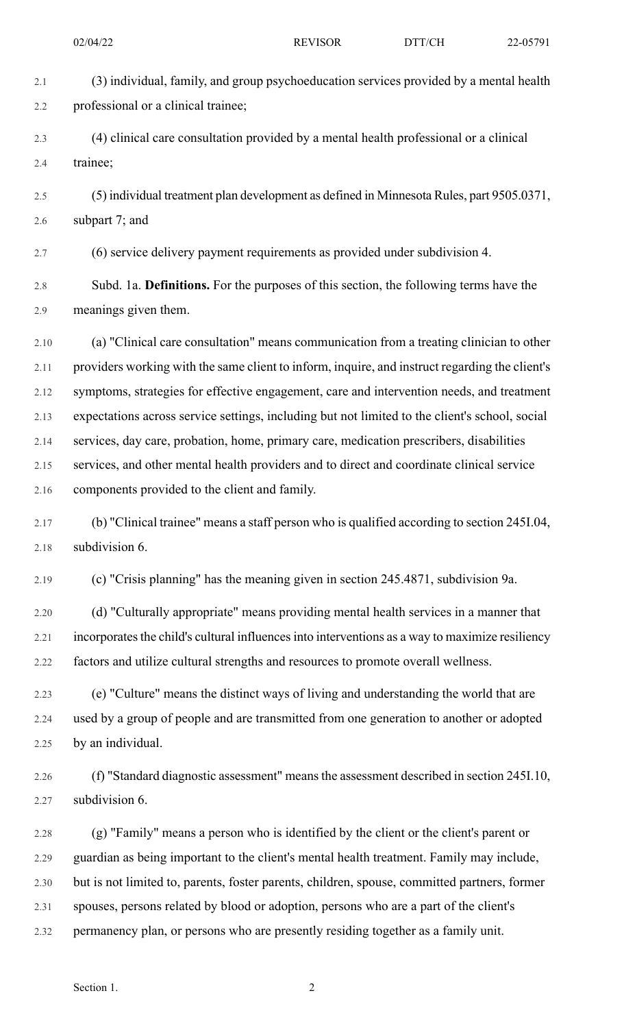2.1 (3) individual, family, and group psychoeducation services provided by a mental health 2.2 professional or a clinical trainee; 2.3 (4) clinical care consultation provided by a mental health professional or a clinical 2.4 trainee; 2.5 (5) individual treatment plan development as defined in Minnesota Rules, part 9505.0371, 2.6 subpart 7; and 2.7 (6) service delivery payment requirements as provided under subdivision 4. 2.8 Subd. 1a. **Definitions.** For the purposes of this section, the following terms have the 2.9 meanings given them. 2.10 (a) "Clinical care consultation" means communication from a treating clinician to other 2.11 providers working with the same client to inform, inquire, and instruct regarding the client's 2.12 symptoms, strategies for effective engagement, care and intervention needs, and treatment 2.13 expectations across service settings, including but not limited to the client's school, social 2.14 services, day care, probation, home, primary care, medication prescribers, disabilities 2.15 services, and other mental health providers and to direct and coordinate clinical service 2.16 components provided to the client and family. 2.17 (b) "Clinical trainee" means a staff person who is qualified according to section 245I.04, 2.18 subdivision 6. 2.19 (c) "Crisis planning" has the meaning given in section 245.4871, subdivision 9a. 2.20 (d) "Culturally appropriate" means providing mental health services in a manner that 2.21 incorporates the child's cultural influences into interventions as a way to maximize resiliency 2.22 factors and utilize cultural strengths and resources to promote overall wellness. 2.23 (e) "Culture" means the distinct ways of living and understanding the world that are 2.24 used by a group of people and are transmitted from one generation to another or adopted 2.25 by an individual. 2.26 (f) "Standard diagnostic assessment" meansthe assessment described in section 245I.10, 2.27 subdivision 6. 2.28 (g) "Family" means a person who is identified by the client or the client's parent or 2.29 guardian as being important to the client's mental health treatment. Family may include, 2.30 but is not limited to, parents, foster parents, children, spouse, committed partners, former 2.31 spouses, persons related by blood or adoption, persons who are a part of the client's 2.32 permanency plan, or persons who are presently residing together as a family unit.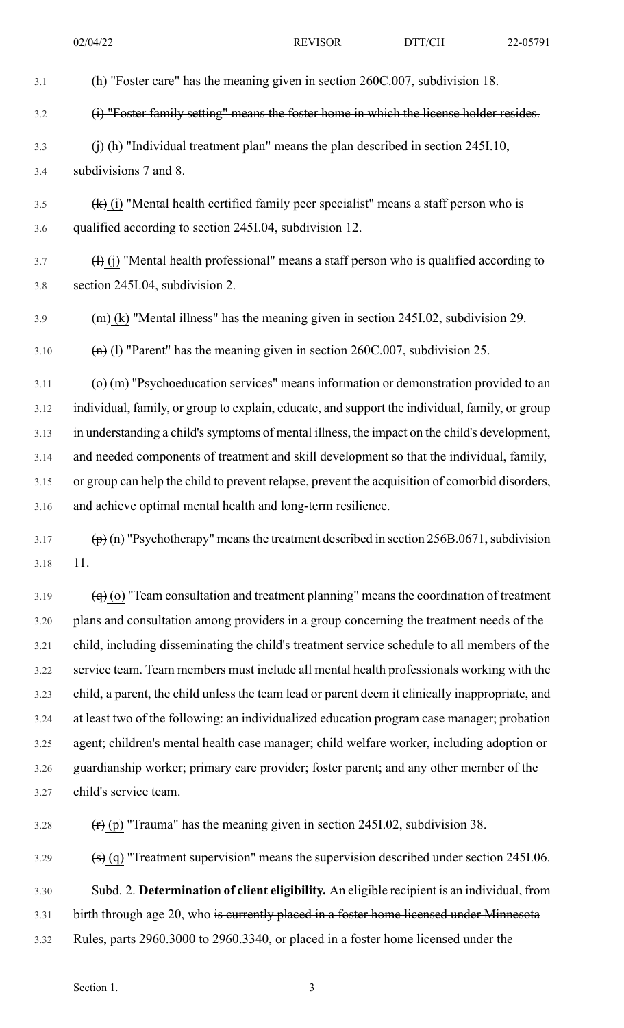| 3.1  | (h) "Foster care" has the meaning given in section 260C.007, subdivision 18.                                  |
|------|---------------------------------------------------------------------------------------------------------------|
| 3.2  | (i) "Foster family setting" means the foster home in which the license holder resides.                        |
| 3.3  | $\overrightarrow{()}$ (h) "Individual treatment plan" means the plan described in section 245I.10,            |
| 3.4  | subdivisions 7 and 8.                                                                                         |
| 3.5  | $\overline{f}(k)$ (i) "Mental health certified family peer specialist" means a staff person who is            |
| 3.6  | qualified according to section 245I.04, subdivision 12.                                                       |
| 3.7  | $\left(\frac{1}{1}\right)$ "Mental health professional" means a staff person who is qualified according to    |
| 3.8  | section 245I.04, subdivision 2.                                                                               |
| 3.9  | $\overline{(m)}$ (k) "Mental illness" has the meaning given in section 2451.02, subdivision 29.               |
| 3.10 | $(n)$ (1) "Parent" has the meaning given in section 260C.007, subdivision 25.                                 |
| 3.11 | $\left(\Theta\right)$ (m) "Psychoeducation services" means information or demonstration provided to an        |
| 3.12 | individual, family, or group to explain, educate, and support the individual, family, or group                |
| 3.13 | in understanding a child's symptoms of mental illness, the impact on the child's development,                 |
| 3.14 | and needed components of treatment and skill development so that the individual, family,                      |
| 3.15 | or group can help the child to prevent relapse, prevent the acquisition of comorbid disorders,                |
| 3.16 | and achieve optimal mental health and long-term resilience.                                                   |
| 3.17 | $\overline{p}(n)$ "Psychotherapy" means the treatment described in section 256B.0671, subdivision             |
| 3.18 | 11.                                                                                                           |
| 3.19 | $\left(\frac{q}{q}\right)$ (o) "Team consultation and treatment planning" means the coordination of treatment |
| 3.20 | plans and consultation among providers in a group concerning the treatment needs of the                       |
| 3.21 | child, including disseminating the child's treatment service schedule to all members of the                   |

3.22 service team. Team members must include all mental health professionals working with the 3.23 child, a parent, the child unless the team lead or parent deem it clinically inappropriate, and 3.24 at least two of the following: an individualized education program case manager; probation 3.25 agent; children's mental health case manager; child welfare worker, including adoption or 3.26 guardianship worker; primary care provider; foster parent; and any other member of the 3.27 child's service team.

3.28  $(r)$  (p) "Trauma" has the meaning given in section 245I.02, subdivision 38.

3.29  $\left(\frac{s}{q}\right)$  "Treatment supervision" means the supervision described under section 245I.06.

3.30 Subd. 2. **Determination of client eligibility.** An eligible recipient is an individual, from 3.31 birth through age 20, who is currently placed in a foster home licensed under Minnesota

3.32 Rules, parts 2960.3000 to 2960.3340, or placed in a foster home licensed under the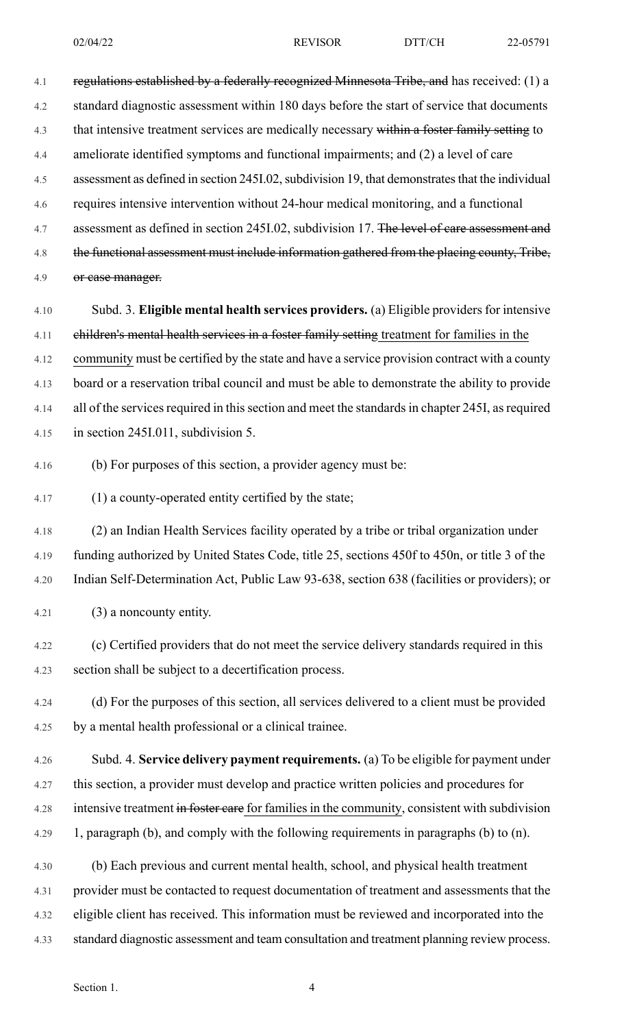4.1 regulations established by a federally recognized Minnesota Tribe, and has received: (1) a

4.2 standard diagnostic assessment within 180 days before the start of service that documents

4.3 that intensive treatment services are medically necessary within a foster family setting to

4.4 ameliorate identified symptoms and functional impairments; and (2) a level of care

4.5 assessment as defined in section 245I.02, subdivision 19, that demonstrates that the individual

4.6 requires intensive intervention without 24-hour medical monitoring, and a functional

4.7 assessment as defined in section 245I.02, subdivision 17. The level of care assessment and

4.8 the functional assessment must include information gathered from the placing county, Tribe,

4.9 or case manager.

4.10 Subd. 3. **Eligible mental health services providers.** (a) Eligible providers for intensive 4.11 children's mental health services in a foster family setting treatment for families in the 4.12 community must be certified by the state and have a service provision contract with a county 4.13 board or a reservation tribal council and must be able to demonstrate the ability to provide 4.14 all of the services required in this section and meet the standards in chapter 245I, as required 4.15 in section 245I.011, subdivision 5.

4.16 (b) For purposes of this section, a provider agency must be:

4.17 (1) a county-operated entity certified by the state;

4.18 (2) an Indian Health Services facility operated by a tribe or tribal organization under 4.19 funding authorized by United States Code, title 25, sections 450f to 450n, or title 3 of the 4.20 Indian Self-Determination Act, Public Law 93-638, section 638 (facilities or providers); or

4.21 (3) a noncounty entity.

4.22 (c) Certified providers that do not meet the service delivery standards required in this 4.23 section shall be subject to a decertification process.

4.24 (d) For the purposes of this section, all services delivered to a client must be provided 4.25 by a mental health professional or a clinical trainee.

- 4.26 Subd. 4. **Service delivery payment requirements.** (a) To be eligible for payment under 4.27 this section, a provider must develop and practice written policies and procedures for 4.28 intensive treatment in foster care for families in the community, consistent with subdivision 4.29 1, paragraph (b), and comply with the following requirements in paragraphs (b) to (n).
- 4.30 (b) Each previous and current mental health, school, and physical health treatment 4.31 provider must be contacted to request documentation of treatment and assessments that the 4.32 eligible client has received. This information must be reviewed and incorporated into the 4.33 standard diagnostic assessment and team consultation and treatment planning review process.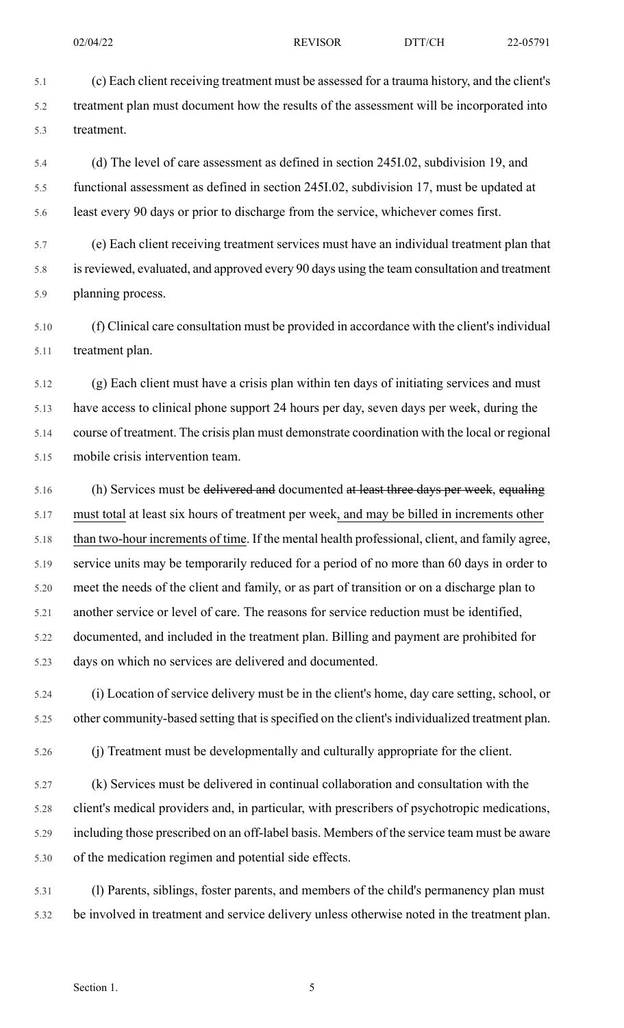5.1 (c) Each client receiving treatment must be assessed for a trauma history, and the client's 5.2 treatment plan must document how the results of the assessment will be incorporated into 5.3 treatment.

5.4 (d) The level of care assessment as defined in section 245I.02, subdivision 19, and 5.5 functional assessment as defined in section 245I.02, subdivision 17, must be updated at 5.6 least every 90 days or prior to discharge from the service, whichever comes first.

5.7 (e) Each client receiving treatment services must have an individual treatment plan that 5.8 isreviewed, evaluated, and approved every 90 days using the team consultation and treatment 5.9 planning process.

5.10 (f) Clinical care consultation must be provided in accordance with the client's individual 5.11 treatment plan.

5.12 (g) Each client must have a crisis plan within ten days of initiating services and must 5.13 have access to clinical phone support 24 hours per day, seven days per week, during the 5.14 course of treatment. The crisis plan must demonstrate coordination with the local or regional 5.15 mobile crisis intervention team.

5.16 (h) Services must be delivered and documented at least three days per week, equaling 5.17 must total at least six hours of treatment per week, and may be billed in increments other 5.18 than two-hour increments of time. If the mental health professional, client, and family agree, 5.19 service units may be temporarily reduced for a period of no more than 60 days in order to 5.20 meet the needs of the client and family, or as part of transition or on a discharge plan to 5.21 another service or level of care. The reasons for service reduction must be identified, 5.22 documented, and included in the treatment plan. Billing and payment are prohibited for 5.23 days on which no services are delivered and documented.

5.24 (i) Location of service delivery must be in the client's home, day care setting, school, or 5.25 other community-based setting that is specified on the client's individualized treatment plan.

5.26 (j) Treatment must be developmentally and culturally appropriate for the client.

5.27 (k) Services must be delivered in continual collaboration and consultation with the 5.28 client's medical providers and, in particular, with prescribers of psychotropic medications, 5.29 including those prescribed on an off-label basis. Members of the service team must be aware 5.30 of the medication regimen and potential side effects.

5.31 (l) Parents, siblings, foster parents, and members of the child's permanency plan must 5.32 be involved in treatment and service delivery unless otherwise noted in the treatment plan.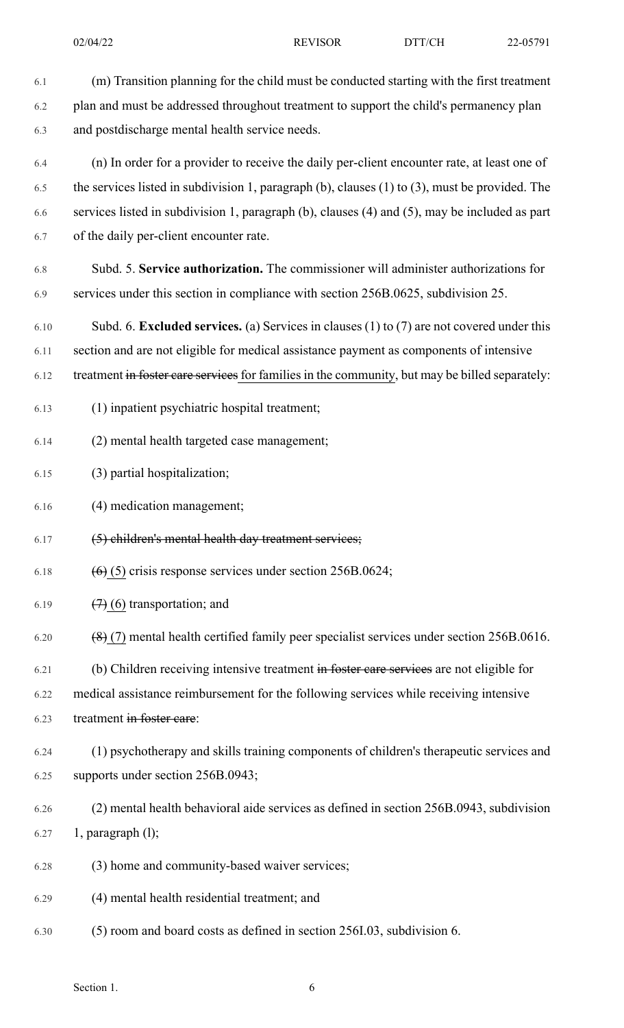6.1 (m) Transition planning for the child must be conducted starting with the first treatment 6.2 plan and must be addressed throughout treatment to support the child's permanency plan 6.3 and postdischarge mental health service needs. 6.4 (n) In order for a provider to receive the daily per-client encounter rate, at least one of 6.5 the services listed in subdivision 1, paragraph (b), clauses (1) to (3), must be provided. The 6.6 services listed in subdivision 1, paragraph (b), clauses (4) and (5), may be included as part 6.7 of the daily per-client encounter rate. 6.8 Subd. 5. **Service authorization.** The commissioner will administer authorizations for 6.9 services under this section in compliance with section 256B.0625, subdivision 25. 6.10 Subd. 6. **Excluded services.** (a) Services in clauses (1) to (7) are not covered under this 6.11 section and are not eligible for medical assistance payment as components of intensive 6.12 treatment in foster care services for families in the community, but may be billed separately:

- 6.13 (1) inpatient psychiatric hospital treatment;
- 6.14 (2) mental health targeted case management;
- 6.15 (3) partial hospitalization;
- 6.16 (4) medication management;
- 6.17 (5) children's mental health day treatment services;
- 6.18  $(6)(5)$  crisis response services under section 256B.0624;
- 6.19  $(7)(6)$  transportation; and
- 6.20  $(8)(7)$  mental health certified family peer specialist services under section 256B.0616.
- 6.21 (b) Children receiving intensive treatment in foster care services are not eligible for
- 6.22 medical assistance reimbursement for the following services while receiving intensive
- 6.23 treatment in foster care:
- 6.24 (1) psychotherapy and skills training components of children's therapeutic services and 6.25 supports under section 256B.0943;
- 6.26 (2) mental health behavioral aide services as defined in section 256B.0943, subdivision 6.27 1, paragraph (l);
- 6.28 (3) home and community-based waiver services;
- 6.29 (4) mental health residential treatment; and
- 6.30 (5) room and board costs as defined in section 256I.03, subdivision 6.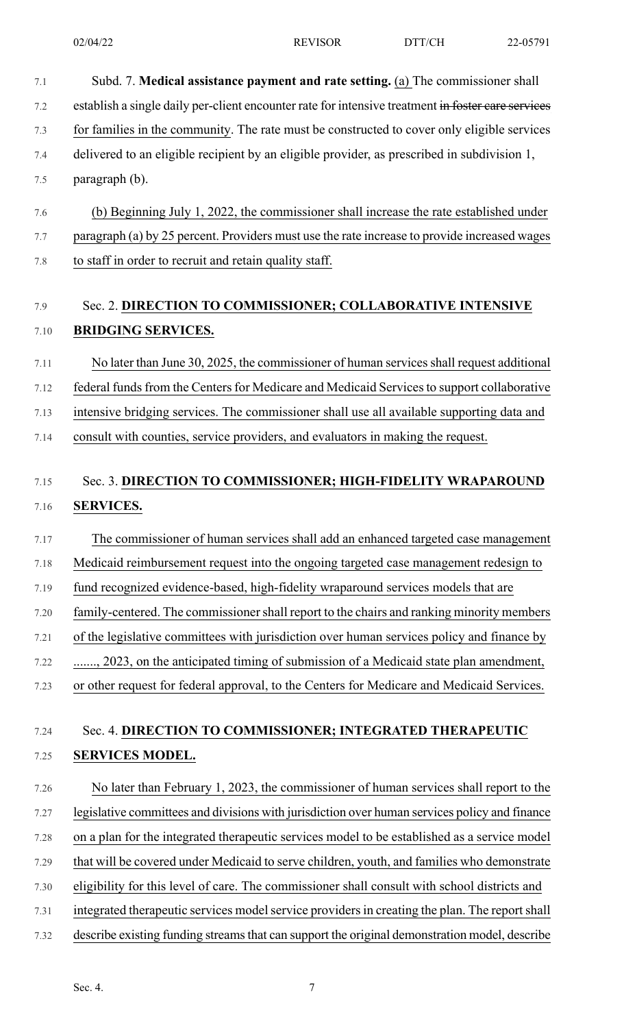- 7.1 Subd. 7. **Medical assistance payment and rate setting.** (a) The commissioner shall 7.2 establish a single daily per-client encounter rate for intensive treatment in foster care services 7.3 for families in the community. The rate must be constructed to cover only eligible services 7.4 delivered to an eligible recipient by an eligible provider, as prescribed in subdivision 1, 7.5 paragraph (b). 7.6 (b) Beginning July 1, 2022, the commissioner shall increase the rate established under 7.7 paragraph (a) by 25 percent. Providers must use the rate increase to provide increased wages 7.8 to staff in order to recruit and retain quality staff. 7.9 Sec. 2. **DIRECTION TO COMMISSIONER; COLLABORATIVE INTENSIVE** 7.10 **BRIDGING SERVICES.** 7.11 No later than June 30, 2025, the commissioner of human servicesshall request additional 7.12 federal funds from the Centers for Medicare and Medicaid Services to support collaborative 7.13 intensive bridging services. The commissioner shall use all available supporting data and 7.14 consult with counties, service providers, and evaluators in making the request. 7.15 Sec. 3. **DIRECTION TO COMMISSIONER; HIGH-FIDELITY WRAPAROUND** 7.16 **SERVICES.** 7.17 The commissioner of human services shall add an enhanced targeted case management 7.18 Medicaid reimbursement request into the ongoing targeted case management redesign to 7.19 fund recognized evidence-based, high-fidelity wraparound services models that are 7.20 family-centered. The commissioner shall report to the chairs and ranking minority members 7.21 of the legislative committees with jurisdiction over human services policy and finance by 7.22 ......., 2023, on the anticipated timing of submission of a Medicaid state plan amendment, 7.23 or other request for federal approval, to the Centers for Medicare and Medicaid Services. 7.24 Sec. 4. **DIRECTION TO COMMISSIONER; INTEGRATED THERAPEUTIC** 7.25 **SERVICES MODEL.** 7.26 No later than February 1, 2023, the commissioner of human services shall report to the 7.27 legislative committees and divisions with jurisdiction over human services policy and finance 7.28 on a plan for the integrated therapeutic services model to be established as a service model 7.29 that will be covered under Medicaid to serve children, youth, and families who demonstrate 7.30 eligibility for this level of care. The commissioner shall consult with school districts and 7.31 integrated therapeutic services model service providers in creating the plan. The report shall
- 7.32 describe existing funding streamsthat can support the original demonstration model, describe